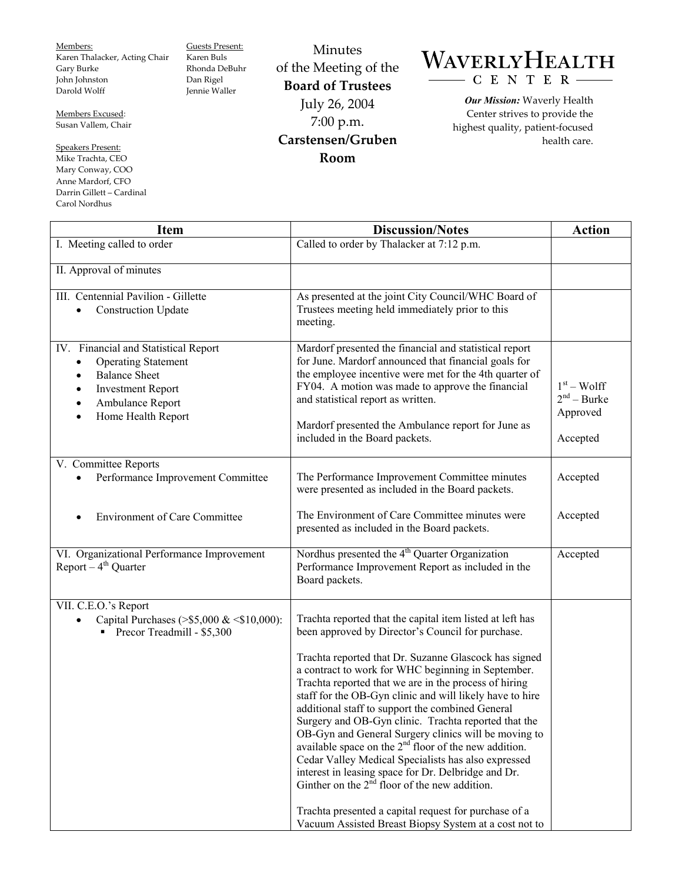Members: Karen Thalacker, Acting Chair Gary Burke John Johnston Darold Wolff

Guests Present: Karen Buls Rhonda DeBuhr Dan Rigel Jennie Waller

Members Excused: Susan Vallem, Chair

Speakers Present: Mike Trachta, CEO Mary Conway, COO Anne Mardorf, CFO Darrin Gillett – Cardinal Carol Nordhus

Minutes of the Meeting of the **Board of Trustees**  July 26, 2004 7:00 p.m. **Carstensen/Gruben Room** 

## WAVERLYHEALTH - C E N T E R

*Our Mission:* Waverly Health Center strives to provide the highest quality, patient-focused health care.

| <b>Item</b>                                                                                                                                                                                | <b>Discussion/Notes</b>                                                                                                                                                                                                                                                                                                                                                                                                                                                                                                                                                                                                                                                                                                                                                                                                                                                                      | <b>Action</b>                                         |
|--------------------------------------------------------------------------------------------------------------------------------------------------------------------------------------------|----------------------------------------------------------------------------------------------------------------------------------------------------------------------------------------------------------------------------------------------------------------------------------------------------------------------------------------------------------------------------------------------------------------------------------------------------------------------------------------------------------------------------------------------------------------------------------------------------------------------------------------------------------------------------------------------------------------------------------------------------------------------------------------------------------------------------------------------------------------------------------------------|-------------------------------------------------------|
| I. Meeting called to order                                                                                                                                                                 | Called to order by Thalacker at 7:12 p.m.                                                                                                                                                                                                                                                                                                                                                                                                                                                                                                                                                                                                                                                                                                                                                                                                                                                    |                                                       |
| II. Approval of minutes                                                                                                                                                                    |                                                                                                                                                                                                                                                                                                                                                                                                                                                                                                                                                                                                                                                                                                                                                                                                                                                                                              |                                                       |
| III. Centennial Pavilion - Gillette<br><b>Construction Update</b><br>$\bullet$                                                                                                             | As presented at the joint City Council/WHC Board of<br>Trustees meeting held immediately prior to this<br>meeting.                                                                                                                                                                                                                                                                                                                                                                                                                                                                                                                                                                                                                                                                                                                                                                           |                                                       |
| IV. Financial and Statistical Report<br><b>Operating Statement</b><br>$\bullet$<br><b>Balance Sheet</b><br><b>Investment Report</b><br>Ambulance Report<br>Home Health Report<br>$\bullet$ | Mardorf presented the financial and statistical report<br>for June. Mardorf announced that financial goals for<br>the employee incentive were met for the 4th quarter of<br>FY04. A motion was made to approve the financial<br>and statistical report as written.<br>Mardorf presented the Ambulance report for June as<br>included in the Board packets.                                                                                                                                                                                                                                                                                                                                                                                                                                                                                                                                   | $1st - Wolf$<br>$2nd - Burke$<br>Approved<br>Accepted |
| V. Committee Reports<br>Performance Improvement Committee                                                                                                                                  | The Performance Improvement Committee minutes<br>were presented as included in the Board packets.                                                                                                                                                                                                                                                                                                                                                                                                                                                                                                                                                                                                                                                                                                                                                                                            | Accepted                                              |
| <b>Environment of Care Committee</b>                                                                                                                                                       | The Environment of Care Committee minutes were<br>presented as included in the Board packets.                                                                                                                                                                                                                                                                                                                                                                                                                                                                                                                                                                                                                                                                                                                                                                                                | Accepted                                              |
| VI. Organizational Performance Improvement<br>Report $-4$ <sup>th</sup> Quarter                                                                                                            | Nordhus presented the $4th$ Quarter Organization<br>Performance Improvement Report as included in the<br>Board packets.                                                                                                                                                                                                                                                                                                                                                                                                                                                                                                                                                                                                                                                                                                                                                                      | Accepted                                              |
| VII. C.E.O.'s Report<br>Capital Purchases (>\$5,000 & <\$10,000):<br>Precor Treadmill - \$5,300                                                                                            | Trachta reported that the capital item listed at left has<br>been approved by Director's Council for purchase.<br>Trachta reported that Dr. Suzanne Glascock has signed<br>a contract to work for WHC beginning in September.<br>Trachta reported that we are in the process of hiring<br>staff for the OB-Gyn clinic and will likely have to hire<br>additional staff to support the combined General<br>Surgery and OB-Gyn clinic. Trachta reported that the<br>OB-Gyn and General Surgery clinics will be moving to<br>available space on the 2 <sup>nd</sup> floor of the new addition.<br>Cedar Valley Medical Specialists has also expressed<br>interest in leasing space for Dr. Delbridge and Dr.<br>Ginther on the $2^{\overline{n}d}$ floor of the new addition.<br>Trachta presented a capital request for purchase of a<br>Vacuum Assisted Breast Biopsy System at a cost not to |                                                       |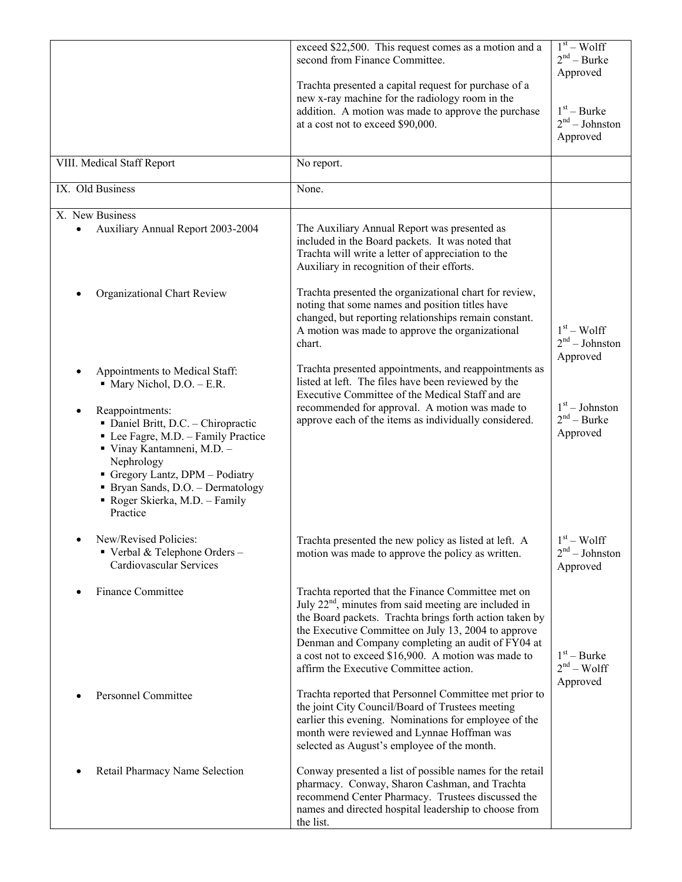|                                                                                                                                                                                                                                                                                                                                        | exceed \$22,500. This request comes as a motion and a<br>second from Finance Committee.<br>Trachta presented a capital request for purchase of a<br>new x-ray machine for the radiology room in the<br>addition. A motion was made to approve the purchase<br>at a cost not to exceed \$90,000.                                                                                       | $1st - Wolf$<br>$2nd - Burke$<br>Approved<br>$1st - Burke$<br>$2nd - Johnston$<br>Approved |
|----------------------------------------------------------------------------------------------------------------------------------------------------------------------------------------------------------------------------------------------------------------------------------------------------------------------------------------|---------------------------------------------------------------------------------------------------------------------------------------------------------------------------------------------------------------------------------------------------------------------------------------------------------------------------------------------------------------------------------------|--------------------------------------------------------------------------------------------|
| VIII. Medical Staff Report                                                                                                                                                                                                                                                                                                             | No report.                                                                                                                                                                                                                                                                                                                                                                            |                                                                                            |
| IX. Old Business                                                                                                                                                                                                                                                                                                                       | None.                                                                                                                                                                                                                                                                                                                                                                                 |                                                                                            |
| X. New Business<br>Auxiliary Annual Report 2003-2004                                                                                                                                                                                                                                                                                   | The Auxiliary Annual Report was presented as<br>included in the Board packets. It was noted that<br>Trachta will write a letter of appreciation to the<br>Auxiliary in recognition of their efforts.                                                                                                                                                                                  |                                                                                            |
| Organizational Chart Review                                                                                                                                                                                                                                                                                                            | Trachta presented the organizational chart for review,<br>noting that some names and position titles have<br>changed, but reporting relationships remain constant.<br>A motion was made to approve the organizational<br>chart.                                                                                                                                                       | $1st - Wolf$<br>$2nd - Johnston$<br>Approved                                               |
| Appointments to Medical Staff:<br>$\blacksquare$ Mary Nichol, D.O. - E.R.<br>Reappointments:<br>• Daniel Britt, D.C. - Chiropractic<br>• Lee Fagre, M.D. - Family Practice<br>Vinay Kantamneni, M.D. -<br>Nephrology<br>Gregory Lantz, DPM - Podiatry<br>• Bryan Sands, D.O. - Dermatology<br>Roger Skierka, M.D. - Family<br>Practice | Trachta presented appointments, and reappointments as<br>listed at left. The files have been reviewed by the<br>Executive Committee of the Medical Staff and are<br>recommended for approval. A motion was made to<br>approve each of the items as individually considered.                                                                                                           | $1st - Johnston$<br>$2nd - Burke$<br>Approved                                              |
| New/Revised Policies:<br>Verbal & Telephone Orders -<br>Cardiovascular Services                                                                                                                                                                                                                                                        | Trachta presented the new policy as listed at left. A<br>motion was made to approve the policy as written.                                                                                                                                                                                                                                                                            | $1st - Wolf$<br>$2nd - Johnston$<br>Approved                                               |
| <b>Finance Committee</b>                                                                                                                                                                                                                                                                                                               | Trachta reported that the Finance Committee met on<br>July $22nd$ , minutes from said meeting are included in<br>the Board packets. Trachta brings forth action taken by<br>the Executive Committee on July 13, 2004 to approve<br>Denman and Company completing an audit of FY04 at<br>a cost not to exceed \$16,900. A motion was made to<br>affirm the Executive Committee action. | $1st - Burke$<br>$2nd - Wolf$<br>Approved                                                  |
| Personnel Committee                                                                                                                                                                                                                                                                                                                    | Trachta reported that Personnel Committee met prior to<br>the joint City Council/Board of Trustees meeting<br>earlier this evening. Nominations for employee of the<br>month were reviewed and Lynnae Hoffman was<br>selected as August's employee of the month.                                                                                                                      |                                                                                            |
| Retail Pharmacy Name Selection                                                                                                                                                                                                                                                                                                         | Conway presented a list of possible names for the retail<br>pharmacy. Conway, Sharon Cashman, and Trachta<br>recommend Center Pharmacy. Trustees discussed the<br>names and directed hospital leadership to choose from<br>the list.                                                                                                                                                  |                                                                                            |